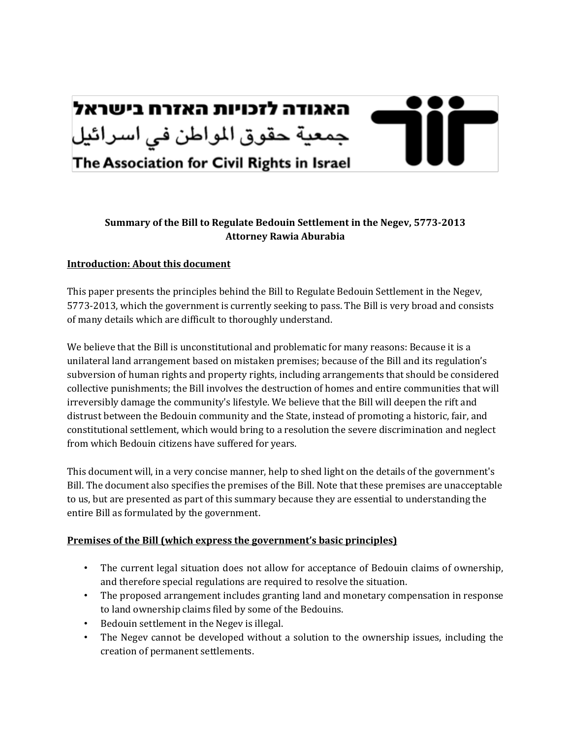

# Summary of the Bill to Regulate Bedouin Settlement in the Negev, 5773-2013 **Attorney'Rawia'Aburabia**

### **Introduction: About this document**

This paper presents the principles behind the Bill to Regulate Bedouin Settlement in the Negev, 5773-2013, which the government is currently seeking to pass. The Bill is very broad and consists of many details which are difficult to thoroughly understand.

We believe that the Bill is unconstitutional and problematic for many reasons: Because it is a unilateral land arrangement based on mistaken premises; because of the Bill and its regulation's subversion of human rights and property rights, including arrangements that should be considered collective punishments; the Bill involves the destruction of homes and entire communities that will irreversibly damage the community's lifestyle. We believe that the Bill will deepen the rift and distrust between the Bedouin community and the State, instead of promoting a historic, fair, and constitutional settlement, which would bring to a resolution the severe discrimination and neglect from which Bedouin citizens have suffered for years.

This document will, in a very concise manner, help to shed light on the details of the government's Bill. The document also specifies the premises of the Bill. Note that these premises are unacceptable to us, but are presented as part of this summary because they are essential to understanding the entire Bill as formulated by the government.

#### Premises of the Bill (which express the government's basic principles)

- The current legal situation does not allow for acceptance of Bedouin claims of ownership, and therefore special regulations are required to resolve the situation.
- The proposed arrangement includes granting land and monetary compensation in response to land ownership claims filed by some of the Bedouins.
- Bedouin settlement in the Negev is illegal.
- The Negev cannot be developed without a solution to the ownership issues, including the creation of permanent settlements.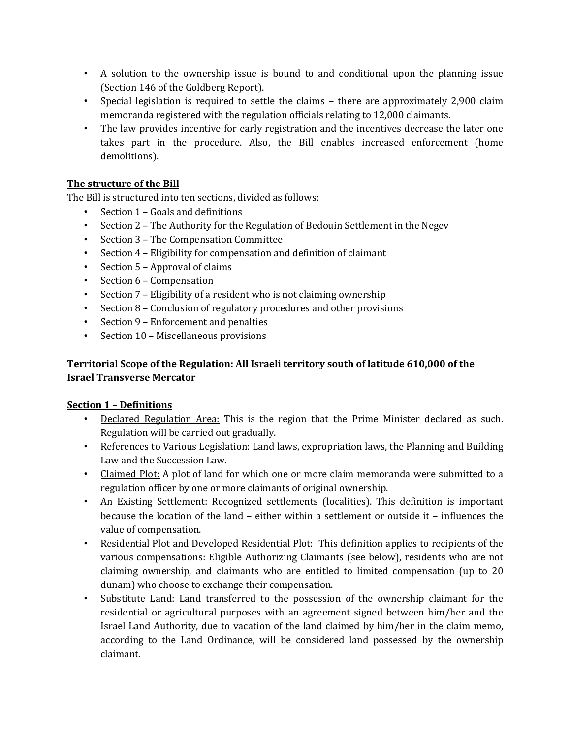- A solution to the ownership issue is bound to and conditional upon the planning issue (Section 146 of the Goldberg Report).
- Special legislation is required to settle the claims there are approximately 2,900 claim memoranda registered with the regulation officials relating to 12,000 claimants.
- The law provides incentive for early registration and the incentives decrease the later one takes part in the procedure. Also, the Bill enables increased enforcement (home demolitions).

# The structure of the Bill

The Bill is structured into ten sections, divided as follows:

- Section 1 Goals and definitions
- Section 2 The Authority for the Regulation of Bedouin Settlement in the Negev
- Section 3 The Compensation Committee
- Section  $4$  Eligibility for compensation and definition of claimant
- Section  $5 -$  Approval of claims
- Section 6 Compensation
- Section  $7$  Eligibility of a resident who is not claiming ownership
- Section 8 Conclusion of regulatory procedures and other provisions
- Section 9 Enforcement and penalties
- Section 10 Miscellaneous provisions

# Territorial Scope of the Regulation: All Israeli territory south of latitude 610,000 of the **Israel'Transverse'Mercator**

### **<u>Section 1 - Definitions</u>**

- Declared Regulation Area: This is the region that the Prime Minister declared as such. Regulation will be carried out gradually.
- References to Various Legislation: Land laws, expropriation laws, the Planning and Building Law and the Succession Law.
- Claimed Plot: A plot of land for which one or more claim memoranda were submitted to a regulation officer by one or more claimants of original ownership.
- An Existing Settlement: Recognized settlements (localities). This definition is important because the location of the land – either within a settlement or outside it – influences the value of compensation.
- Residential Plot and Developed Residential Plot: This definition applies to recipients of the various compensations: Eligible Authorizing Claimants (see below), residents who are not claiming ownership, and claimants who are entitled to limited compensation (up to 20 dunam) who choose to exchange their compensation.
- Substitute Land: Land transferred to the possession of the ownership claimant for the residential or agricultural purposes with an agreement signed between him/her and the Israel Land Authority, due to vacation of the land claimed by him/her in the claim memo, according to the Land Ordinance, will be considered land possessed by the ownership claimant.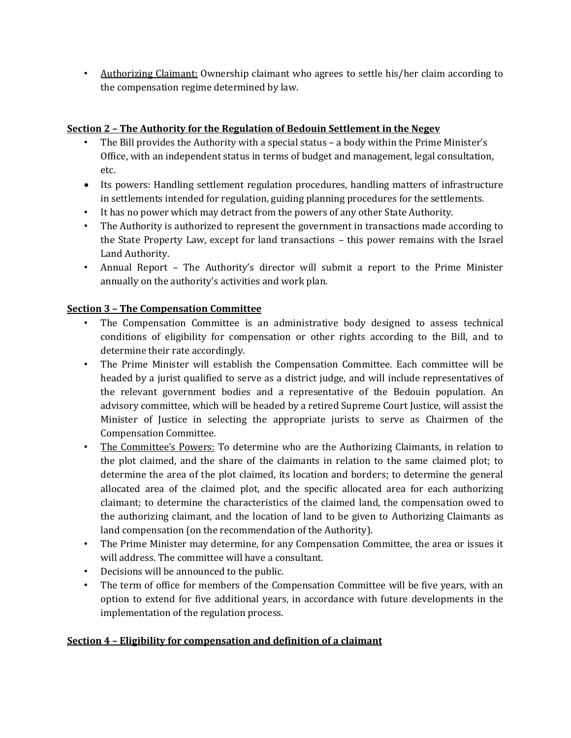• Authorizing Claimant: Ownership claimant who agrees to settle his/her claim according to the compensation regime determined by law.

# **Section 2 - The Authority for the Regulation of Bedouin Settlement in the Negev**

- The Bill provides the Authority with a special status a body within the Prime Minister's Office, with an independent status in terms of budget and management, legal consultation, etc.
- Its powers: Handling settlement regulation procedures, handling matters of infrastructure in settlements intended for regulation, guiding planning procedures for the settlements.
- It has no power which may detract from the powers of any other State Authority.
- The Authority is authorized to represent the government in transactions made according to the State Property Law, except for land transactions – this power remains with the Israel Land Authority.
- Annual Report The Authority's director will submit a report to the Prime Minister annually on the authority's activities and work plan.

# **Section'3'Ȃ The'Compensation'Committee**

- The Compensation Committee is an administrative body designed to assess technical conditions of eligibility for compensation or other rights according to the Bill, and to determine their rate accordingly.
- The Prime Minister will establish the Compensation Committee. Each committee will be headed by a jurist qualified to serve as a district judge, and will include representatives of the relevant government bodies and a representative of the Bedouin population. An advisory committee, which will be headed by a retired Supreme Court Justice, will assist the Minister of Justice in selecting the appropriate jurists to serve as Chairmen of the Compensation Committee.
- The Committee's Powers: To determine who are the Authorizing Claimants, in relation to the plot claimed, and the share of the claimants in relation to the same claimed plot; to determine the area of the plot claimed, its location and borders; to determine the general allocated area of the claimed plot, and the specific allocated area for each authorizing claimant; to determine the characteristics of the claimed land, the compensation owed to the authorizing claimant, and the location of land to be given to Authorizing Claimants as land compensation (on the recommendation of the Authority).
- The Prime Minister may determine, for any Compensation Committee, the area or issues it will address. The committee will have a consultant.
- Decisions will be announced to the public.
- The term of office for members of the Compensation Committee will be five years, with an option to extend for five additional years, in accordance with future developments in the implementation of the regulation process.

### **<u>Section 4 - Eligibility for compensation and definition of a claimant</u>**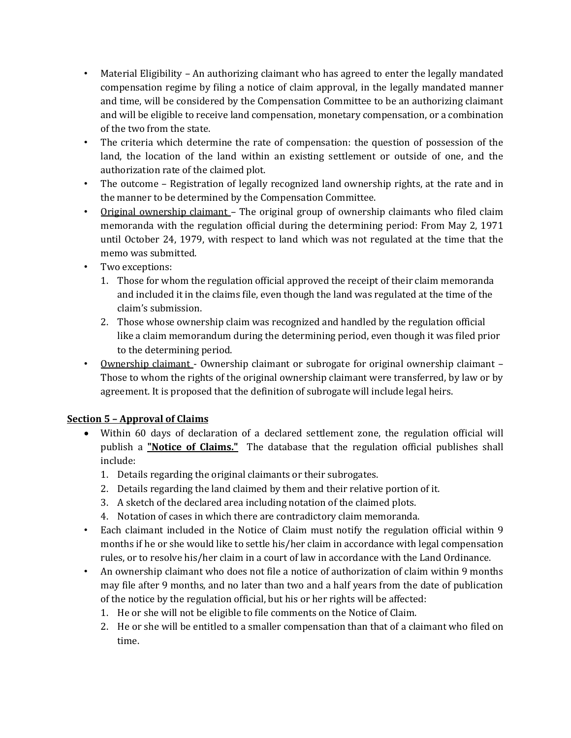- Material Eligibility An authorizing claimant who has agreed to enter the legally mandated compensation regime by filing a notice of claim approval, in the legally mandated manner and time, will be considered by the Compensation Committee to be an authorizing claimant and will be eligible to receive land compensation, monetary compensation, or a combination of the two from the state.
- The criteria which determine the rate of compensation: the question of possession of the land, the location of the land within an existing settlement or outside of one, and the authorization rate of the claimed plot.
- The outcome Registration of legally recognized land ownership rights, at the rate and in the manner to be determined by the Compensation Committee.
- Original ownership claimant The original group of ownership claimants who filed claim memoranda with the regulation official during the determining period: From May 2, 1971 until October 24, 1979, with respect to land which was not regulated at the time that the memo was submitted.
- Two exceptions:
	- 1. Those for whom the regulation official approved the receipt of their claim memoranda and included it in the claims file, even though the land was regulated at the time of the claim's submission.
	- 2. Those whose ownership claim was recognized and handled by the regulation official like a claim memorandum during the determining period, even though it was filed prior to the determining period.
- Ownership claimant Ownership claimant or subrogate for original ownership claimant Those to whom the rights of the original ownership claimant were transferred, by law or by agreement. It is proposed that the definition of subrogate will include legal heirs.

### **<u>Section 5 - Approval of Claims</u>**

- Within 60 days of declaration of a declared settlement zone, the regulation official will publish a **"Notice of Claims."** The database that the regulation official publishes shall include:
	- 1. Details regarding the original claimants or their subrogates.
	- 2. Details regarding the land claimed by them and their relative portion of it.
	- 3. A sketch of the declared area including notation of the claimed plots.
	- 4. Notation of cases in which there are contradictory claim memoranda.
- Each claimant included in the Notice of Claim must notify the regulation official within 9 months if he or she would like to settle his/her claim in accordance with legal compensation rules, or to resolve his/her claim in a court of law in accordance with the Land Ordinance.
- An ownership claimant who does not file a notice of authorization of claim within 9 months may file after 9 months, and no later than two and a half years from the date of publication of the notice by the regulation official, but his or her rights will be affected:
	- 1. He or she will not be eligible to file comments on the Notice of Claim.
	- 2. He or she will be entitled to a smaller compensation than that of a claimant who filed on time.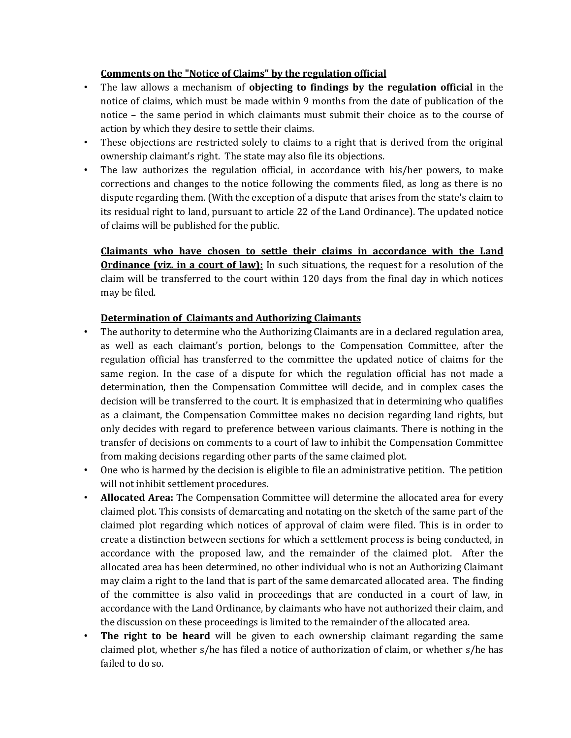# **<u>Comments on the "Notice of Claims" by the regulation official</u>**

- The law allows a mechanism of **objecting to findings by the regulation official** in the notice of claims, which must be made within 9 months from the date of publication of the notice – the same period in which claimants must submit their choice as to the course of action by which they desire to settle their claims.
- These objections are restricted solely to claims to a right that is derived from the original ownership claimant's right. The state may also file its objections.
- The law authorizes the regulation official, in accordance with his/her powers, to make corrections and changes to the notice following the comments filed, as long as there is no dispute regarding them. (With the exception of a dispute that arises from the state's claim to its residual right to land, pursuant to article 22 of the Land Ordinance). The updated notice of claims will be published for the public.

**Claimants' who' have' chosen' to' settle' their' claims' in' accordance' with' the' Land' Ordinance (viz. in a court of law):** In such situations, the request for a resolution of the claim will be transferred to the court within 120 days from the final day in which notices may be filed.

### **Determination of Claimants and Authorizing Claimants**

- The authority to determine who the Authorizing Claimants are in a declared regulation area, as well as each claimant's portion, belongs to the Compensation Committee, after the regulation official has transferred to the committee the updated notice of claims for the same region. In the case of a dispute for which the regulation official has not made a determination, then the Compensation Committee will decide, and in complex cases the decision will be transferred to the court. It is emphasized that in determining who qualifies as a claimant, the Compensation Committee makes no decision regarding land rights, but only decides with regard to preference between various claimants. There is nothing in the transfer of decisions on comments to a court of law to inhibit the Compensation Committee from making decisions regarding other parts of the same claimed plot.
- One who is harmed by the decision is eligible to file an administrative petition. The petition will not inhibit settlement procedures.
- **Allocated Area:** The Compensation Committee will determine the allocated area for every claimed plot. This consists of demarcating and notating on the sketch of the same part of the claimed plot regarding which notices of approval of claim were filed. This is in order to create a distinction between sections for which a settlement process is being conducted, in accordance with the proposed law, and the remainder of the claimed plot. After the allocated area has been determined, no other individual who is not an Authorizing Claimant may claim a right to the land that is part of the same demarcated allocated area. The finding of the committee is also valid in proceedings that are conducted in a court of law, in accordance with the Land Ordinance, by claimants who have not authorized their claim, and the discussion on these proceedings is limited to the remainder of the allocated area.
- **The right to be heard** will be given to each ownership claimant regarding the same claimed plot, whether s/he has filed a notice of authorization of claim, or whether s/he has failed to do so.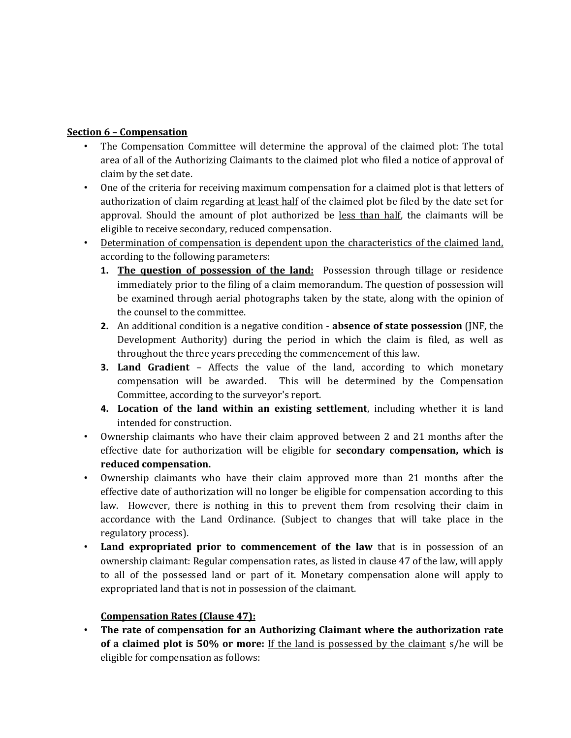### **Section'6'Ȃ Compensation**

- The Compensation Committee will determine the approval of the claimed plot: The total area of all of the Authorizing Claimants to the claimed plot who filed a notice of approval of claim by the set date.
- One of the criteria for receiving maximum compensation for a claimed plot is that letters of authorization of claim regarding at least half of the claimed plot be filed by the date set for approval. Should the amount of plot authorized be less than half, the claimants will be eligible to receive secondary, reduced compensation.
- Determination of compensation is dependent upon the characteristics of the claimed land, according to the following parameters:
	- **1. The question of possession of the land:** Possession through tillage or residence immediately prior to the filing of a claim memorandum. The question of possession will be examined through aerial photographs taken by the state, along with the opinion of the counsel to the committee.
	- **2.** An additional condition is a negative condition **absence of state possession** (JNF, the Development Authority) during the period in which the claim is filed, as well as throughout the three years preceding the commencement of this law.
	- **3. Land Gradient** Affects the value of the land, according to which monetary compensation will be awarded. This will be determined by the Compensation Committee, according to the surveyor's report.
	- **4.** Location of the land within an existing settlement, including whether it is land intended for construction.
- Ownership claimants who have their claim approved between 2 and 21 months after the effective date for authorization will be eligible for **secondary compensation, which is reduced'compensation.**
- Ownership claimants who have their claim approved more than 21 months after the effective date of authorization will no longer be eligible for compensation according to this law. However, there is nothing in this to prevent them from resolving their claim in accordance with the Land Ordinance. (Subject to changes that will take place in the regulatory process).
- Land expropriated prior to commencement of the law that is in possession of an ownership claimant: Regular compensation rates, as listed in clause 47 of the law, will apply to all of the possessed land or part of it. Monetary compensation alone will apply to expropriated land that is not in possession of the claimant.

### **Compensation Rates (Clause 47):**

**The rate of compensation for an Authorizing Claimant where the authorization rate of a claimed plot is 50% or more:** If the land is possessed by the claimant s/he will be eligible for compensation as follows: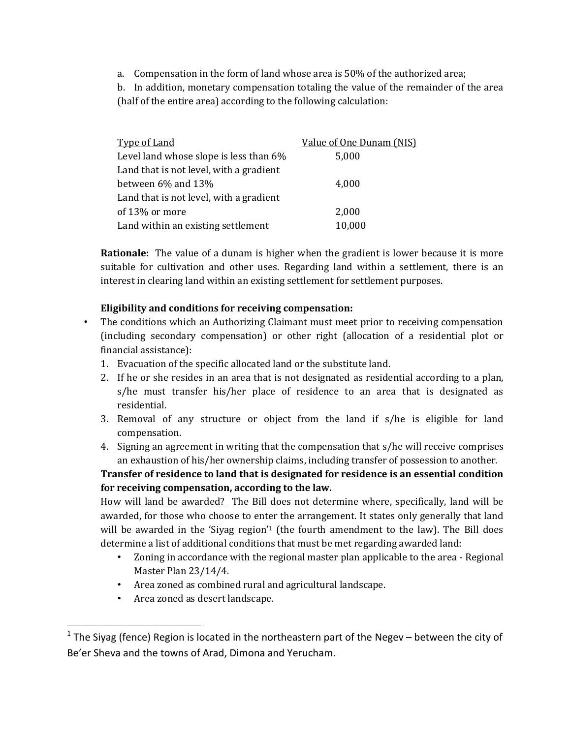a. Compensation in the form of land whose area is  $50\%$  of the authorized area;

b. In addition, monetary compensation totaling the value of the remainder of the area (half of the entire area) according to the following calculation:

| <b>Type of Land</b>                     | Value of One Dunam (NIS) |
|-----------------------------------------|--------------------------|
| Level land whose slope is less than 6%  | 5,000                    |
| Land that is not level, with a gradient |                          |
| between 6% and 13%                      | 4,000                    |
| Land that is not level, with a gradient |                          |
| of 13% or more                          | 2,000                    |
| Land within an existing settlement      | 10,000                   |

**Rationale:** The value of a dunam is higher when the gradient is lower because it is more suitable for cultivation and other uses. Regarding land within a settlement, there is an interest in clearing land within an existing settlement for settlement purposes.

### Eligibility and conditions for receiving compensation:

- The conditions which an Authorizing Claimant must meet prior to receiving compensation (including secondary compensation) or other right (allocation of a residential plot or financial assistance):
	- 1. Evacuation of the specific allocated land or the substitute land.
	- 2. If he or she resides in an area that is not designated as residential according to a plan,  $s/he$  must transfer his/her place of residence to an area that is designated as residential.
	- 3. Removal of any structure or object from the land if  $s/he$  is eligible for land compensation.
	- 4. Signing an agreement in writing that the compensation that s/he will receive comprises an exhaustion of his/her ownership claims, including transfer of possession to another.

# **Transfer'of'residence'to'land'that'is'designated'for'residence'is'an'essential'condition'** for receiving compensation, according to the law.

How will land be awarded? The Bill does not determine where, specifically, land will be awarded, for those who choose to enter the arrangement. It states only generally that land will be awarded in the 'Siyag region'<sup>1</sup> (the fourth amendment to the law). The Bill does determine a list of additional conditions that must be met regarding awarded land:

- Zoning in accordance with the regional master plan applicable to the area Regional Master Plan 23/14/4.
- Area zoned as combined rural and agricultural landscape.
- Area zoned as desert landscape.

!!!!!!!!!!!!!!!!!!!!!!!!!!!!!!!!!!!!!!!!!!!!!!!!!!!!!!!!!!

<sup>&</sup>lt;sup>1</sup> The Siyag (fence) Region is located in the northeastern part of the Negev – between the city of Be'er Sheva and the towns of Arad, Dimona and Yerucham.